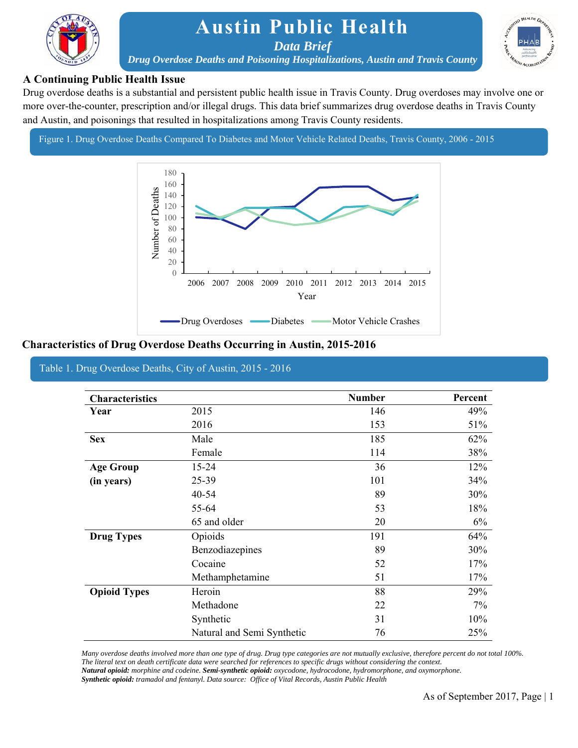

## **Austin Public Health**

*Data Brief* 



*Drug Overdose Deaths and Poisoning Hospitalizations, Austin and Travis County* 

### **A Continuing Public Health Issue**

 Drug overdose deaths is a substantial and persistent public health issue in Travis County. Drug overdoses may involve one or more over-the-counter, prescription and/or illegal drugs. This data brief summarizes drug overdose deaths in Travis County and Austin, and poisonings that resulted in hospitalizations among Travis County residents.

Figure 1. Drug Overdose Deaths Compared To Diabetes and Motor Vehicle Related Deaths, Travis County, 2006 - 2015



#### **Characteristics of Drug Overdose Deaths Occurring in Austin, 2015-2016**

#### Table 1. Drug Overdose Deaths, City of Austin, 2015 - 2016

| <b>Characteristics</b>        |                            | <b>Number</b> | Percent |
|-------------------------------|----------------------------|---------------|---------|
| Year                          | 2015                       | 146           | 49%     |
|                               | 2016                       | 153           | 51%     |
| <b>Sex</b>                    | Male                       | 185           | 62%     |
|                               | Female                     | 114           | 38%     |
| <b>Age Group</b><br>$15 - 24$ |                            | 36            | 12%     |
| (in years)                    | 25-39                      | 101           | 34%     |
|                               | $40 - 54$                  | 89            | 30%     |
|                               | 55-64                      | 53            | 18%     |
|                               | 65 and older               | 20            | 6%      |
| <b>Drug Types</b>             | Opioids                    | 191           | 64%     |
|                               | Benzodiazepines            | 89            | 30%     |
|                               | Cocaine                    | 52            | 17%     |
|                               | Methamphetamine            | 51            | 17%     |
| <b>Opioid Types</b>           | Heroin                     | 88            | 29%     |
|                               | Methadone                  | 22            | 7%      |
|                               | Synthetic                  | 31            | 10%     |
|                               | Natural and Semi Synthetic | 76            | 25%     |

*Many overdose deaths involved more than one type of drug. Drug type categories are not mutually exclusive, therefore percent do not total 100%. The literal text on death certificate data were searched for references to specific drugs without considering the context. Natural opioid: morphine and codeine. Semi-synthetic opioid: oxycodone, hydrocodone, hydromorphone, and oxymorphone. Synthetic opioid: tramadol and fentanyl. Data source: Office of Vital Records, Austin Public Health*